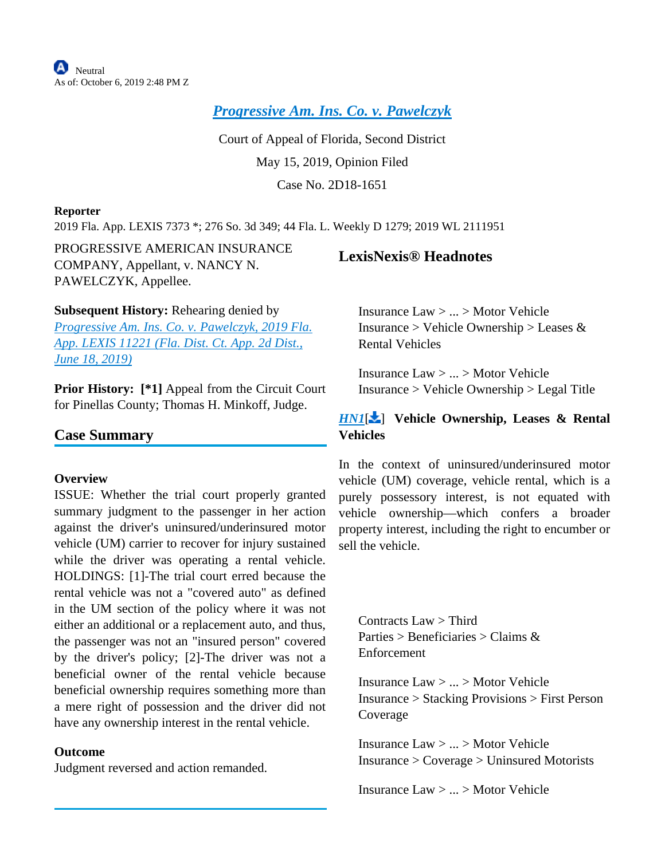**A**Neutral As of: October 6, 2019 2:48 PM Z

*[Progressive Am. Ins. Co. v. Pawelczyk](https://advance.lexis.com/api/document?collection=cases&id=urn:contentItem:5W42-6WN1-JBM1-M0WN-00000-00&context=)*

Court of Appeal of Florida, Second District May 15, 2019, Opinion Filed Case No. 2D18-1651

## **Reporter**

2019 Fla. App. LEXIS 7373 \*; 276 So. 3d 349; 44 Fla. L. Weekly D 1279; 2019 WL 2111951

PROGRESSIVE AMERICAN INSURANCE COMPANY, Appellant, v. NANCY N. PAWELCZYK, Appellee.

**Subsequent History:** Rehearing denied by

*[Progressive Am. Ins. Co. v. Pawelczyk, 2019 Fla.](https://advance.lexis.com/api/document?collection=cases&id=urn:contentItem:5WKG-SY71-JX8W-M08C-00000-00&context=)  [App. LEXIS 11221 \(Fla. Dist. Ct. App. 2d Dist.,](https://advance.lexis.com/api/document?collection=cases&id=urn:contentItem:5WKG-SY71-JX8W-M08C-00000-00&context=)  [June 18, 2019\)](https://advance.lexis.com/api/document?collection=cases&id=urn:contentItem:5WKG-SY71-JX8W-M08C-00000-00&context=)*

**Prior History:** [\*1] Appeal from the Circuit Court for Pinellas County; Thomas H. Minkoff, Judge.

# **Case Summary**

### **Overview**

ISSUE: Whether the trial court properly granted summary judgment to the passenger in her action against the driver's uninsured/underinsured motor vehicle (UM) carrier to recover for injury sustained while the driver was operating a rental vehicle. HOLDINGS: [1]-The trial court erred because the rental vehicle was not a "covered auto" as defined in the UM section of the policy where it was not either an additional or a replacement auto, and thus, the passenger was not an "insured person" covered by the driver's policy; [2]-The driver was not a beneficial owner of the rental vehicle because beneficial ownership requires something more than a mere right of possession and the driver did not have any ownership interest in the rental vehicle.

## **Outcome**

Judgment reversed and action remanded.

# <span id="page-0-0"></span>**LexisNexis® Headnotes**

Insurance Law > ... > Motor Vehicle Insurance > Vehicle Ownership > Leases  $\&$ Rental Vehicles

Insurance Law > ... > Motor Vehicle Insurance > Vehicle Ownership > Legal Title

# *[HN1](https://advance.lexis.com/api/document?collection=cases&id=urn:contentItem:5W42-6WN1-JBM1-M0WN-00000-00&context=&link=LNHNREFclscc1)*[ ] **Vehicle Ownership, Leases & Rental Vehicles**

In the context of uninsured/underinsured motor vehicle (UM) coverage, vehicle rental, which is a purely possessory interest, is not equated with vehicle ownership—which confers a broader property interest, including the right to encumber or sell the vehicle.

<span id="page-0-1"></span>Contracts Law > Third Parties > Beneficiaries > Claims & Enforcement

Insurance Law > ... > Motor Vehicle Insurance > Stacking Provisions > First Person Coverage

Insurance Law > ... > Motor Vehicle Insurance > Coverage > Uninsured Motorists

Insurance Law > ... > Motor Vehicle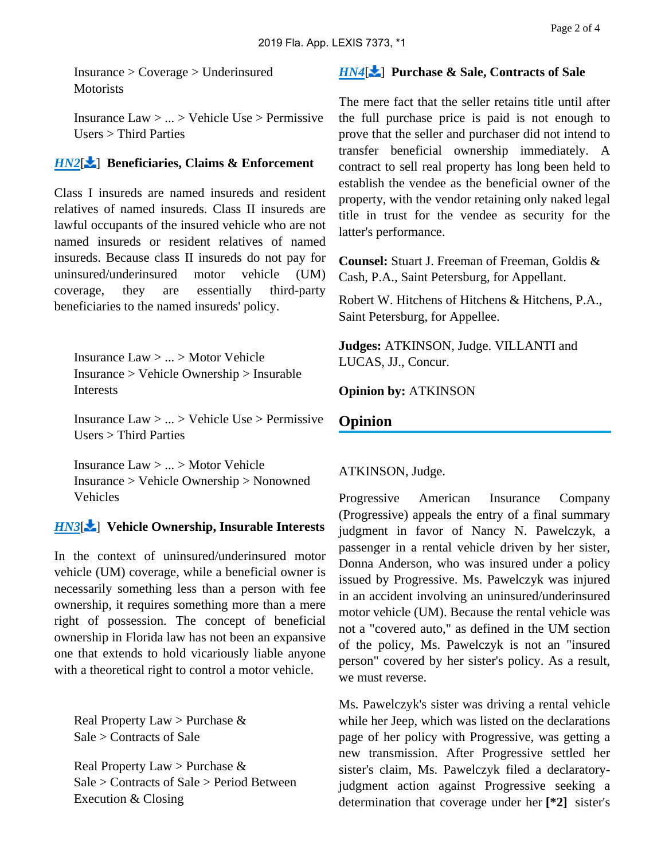Insurance > Coverage > Underinsured **Motorists** 

Insurance Law > ... > Vehicle Use > Permissive Users > Third Parties

## *[HN2](https://advance.lexis.com/api/document?collection=cases&id=urn:contentItem:5W42-6WN1-JBM1-M0WN-00000-00&context=&link=LNHNREFclscc2)*[ ] **Beneficiaries, Claims & Enforcement**

Class I insureds are named insureds and resident relatives of named insureds. Class II insureds are lawful occupants of the insured vehicle who are not named insureds or resident relatives of named insureds. Because class II insureds do not pay for uninsured/underinsured motor vehicle (UM) coverage, they are essentially third-party beneficiaries to the named insureds' policy.

Insurance Law > ... > Motor Vehicle Insurance > Vehicle Ownership > Insurable Interests

Insurance Law > ... > Vehicle Use > Permissive Users > Third Parties

Insurance Law > ... > Motor Vehicle Insurance > Vehicle Ownership > Nonowned Vehicles

# *[HN3](https://advance.lexis.com/api/document?collection=cases&id=urn:contentItem:5W42-6WN1-JBM1-M0WN-00000-00&context=&link=LNHNREFclscc3)*[ ] **Vehicle Ownership, Insurable Interests**

In the context of uninsured/underinsured motor vehicle (UM) coverage, while a beneficial owner is necessarily something less than a person with fee ownership, it requires something more than a mere right of possession. The concept of beneficial ownership in Florida law has not been an expansive one that extends to hold vicariously liable anyone with a theoretical right to control a motor vehicle.

Real Property Law > Purchase & Sale > Contracts of Sale

Real Property Law > Purchase & Sale > Contracts of Sale > Period Between Execution & Closing

## *[HN4](https://advance.lexis.com/api/document?collection=cases&id=urn:contentItem:5W42-6WN1-JBM1-M0WN-00000-00&context=&link=LNHNREFclscc4)*[ ] **Purchase & Sale, Contracts of Sale**

The mere fact that the seller retains title until after the full purchase price is paid is not enough to prove that the seller and purchaser did not intend to transfer beneficial ownership immediately. A contract to sell real property has long been held to establish the vendee as the beneficial owner of the property, with the vendor retaining only naked legal title in trust for the vendee as security for the latter's performance.

**Counsel:** Stuart J. Freeman of Freeman, Goldis & Cash, P.A., Saint Petersburg, for Appellant.

Robert W. Hitchens of Hitchens & Hitchens, P.A., Saint Petersburg, for Appellee.

**Judges:** ATKINSON, Judge. VILLANTI and LUCAS, JJ., Concur.

**Opinion by:** ATKINSON

# **Opinion**

# ATKINSON, Judge.

Progressive American Insurance Company (Progressive) appeals the entry of a final summary judgment in favor of Nancy N. Pawelczyk, a passenger in a rental vehicle driven by her sister, Donna Anderson, who was insured under a policy issued by Progressive. Ms. Pawelczyk was injured in an accident involving an uninsured/underinsured motor vehicle (UM). Because the rental vehicle was not a "covered auto," as defined in the UM section of the policy, Ms. Pawelczyk is not an "insured person" covered by her sister's policy. As a result, we must reverse.

Ms. Pawelczyk's sister was driving a rental vehicle while her Jeep, which was listed on the declarations page of her policy with Progressive, was getting a new transmission. After Progressive settled her sister's claim, Ms. Pawelczyk filed a declaratoryjudgment action against Progressive seeking a determination that coverage under her **[\*2]** sister's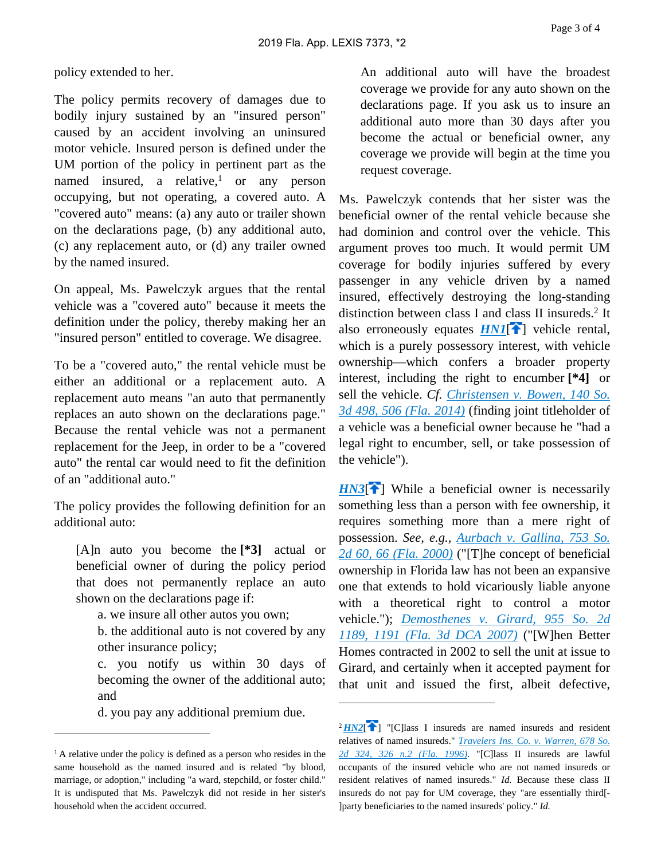policy extended to her.

The policy permits recovery of damages due to bodily injury sustained by an "insured person" caused by an accident involving an uninsured motor vehicle. Insured person is defined under the UM portion of the policy in pertinent part as the named insured, a relative,<sup>1</sup> or any person occupying, but not operating, a covered auto. A "covered auto" means: (a) any auto or trailer shown on the declarations page, (b) any additional auto, (c) any replacement auto, or (d) any trailer owned by the named insured.

On appeal, Ms. Pawelczyk argues that the rental vehicle was a "covered auto" because it meets the definition under the policy, thereby making her an "insured person" entitled to coverage. We disagree.

To be a "covered auto," the rental vehicle must be either an additional or a replacement auto. A replacement auto means "an auto that permanently replaces an auto shown on the declarations page." Because the rental vehicle was not a permanent replacement for the Jeep, in order to be a "covered auto" the rental car would need to fit the definition of an "additional auto."

The policy provides the following definition for an additional auto:

[A]n auto you become the **[\*3]** actual or beneficial owner of during the policy period that does not permanently replace an auto shown on the declarations page if:

a. we insure all other autos you own;

b. the additional auto is not covered by any other insurance policy;

c. you notify us within 30 days of becoming the owner of the additional auto; and

d. you pay any additional premium due.

An additional auto will have the broadest coverage we provide for any auto shown on the declarations page. If you ask us to insure an additional auto more than 30 days after you become the actual or beneficial owner, any coverage we provide will begin at the time you request coverage.

Ms. Pawelczyk contends that her sister was the beneficial owner of the rental vehicle because she had dominion and control over the vehicle. This argument proves too much. It would permit UM coverage for bodily injuries suffered by every passenger in any vehicle driven by a named insured, effectively destroying the long-standing distinction between class I and class II insureds.<sup>2</sup> It also erroneously equates  $HNI$ <sup>[\[](#page-0-0)2]</sup> vehicle rental, which is a purely possessory interest, with vehicle ownership—which confers a broader property interest, including the right to encumber **[\*4]** or sell the vehicle. *Cf. [Christensen v. Bowen, 140 So.](https://advance.lexis.com/api/document?collection=cases&id=urn:contentItem:5BY6-H771-F04F-R015-00000-00&context=)  [3d 498, 506 \(Fla. 2014\)](https://advance.lexis.com/api/document?collection=cases&id=urn:contentItem:5BY6-H771-F04F-R015-00000-00&context=)* (finding joint titleholder of a vehicle was a beneficial owner because he "had a legal right to encumber, sell, or take possession of the vehicle").

 $H N3$ <sup>[ $\uparrow$ </sup>] While a beneficial owner is necessarily something less than a person with fee ownership, it requires something more than a mere right of possession. *See, e.g., [Aurbach v. Gallina, 753 So.](https://advance.lexis.com/api/document?collection=cases&id=urn:contentItem:3YGM-W190-0039-449G-00000-00&context=)  [2d 60, 66 \(Fla. 2000\)](https://advance.lexis.com/api/document?collection=cases&id=urn:contentItem:3YGM-W190-0039-449G-00000-00&context=)* ("[T]he concept of beneficial ownership in Florida law has not been an expansive one that extends to hold vicariously liable anyone with a theoretical right to control a motor vehicle."); *[Demosthenes v. Girard, 955 So. 2d](https://advance.lexis.com/api/document?collection=cases&id=urn:contentItem:4NMN-36B0-TXK7-F26R-00000-00&context=)  [1189, 1191 \(Fla. 3d DCA 2007\)](https://advance.lexis.com/api/document?collection=cases&id=urn:contentItem:4NMN-36B0-TXK7-F26R-00000-00&context=)* ("[W]hen Better Homes contracted in 2002 to sell the unit at issue to Girard, and certainly when it accepted payment for that unit and issued the first, albeit defective,

<sup>&</sup>lt;sup>1</sup> A relative under the policy is defined as a person who resides in the same household as the named insured and is related "by blood, marriage, or adoption," including "a ward, stepchild, or foster child." It is undisputed that Ms. Pawelczyk did not reside in her sister's household when the accident occurred.

 $2HN2$  $2HN2$ <sup>[\[](#page-0-1)2</sup>] "[C]lass I insureds are named insureds and resident relatives of named insureds." *[Travelers Ins. Co. v. Warren, 678 So.](https://advance.lexis.com/api/document?collection=cases&id=urn:contentItem:3RX4-15N0-003F-32X8-00000-00&context=)  [2d 324, 326 n.2 \(Fla. 1996\)](https://advance.lexis.com/api/document?collection=cases&id=urn:contentItem:3RX4-15N0-003F-32X8-00000-00&context=)*. "[C]lass II insureds are lawful occupants of the insured vehicle who are not named insureds or resident relatives of named insureds." *Id.* Because these class II insureds do not pay for UM coverage, they "are essentially third[- ]party beneficiaries to the named insureds' policy." *Id.*